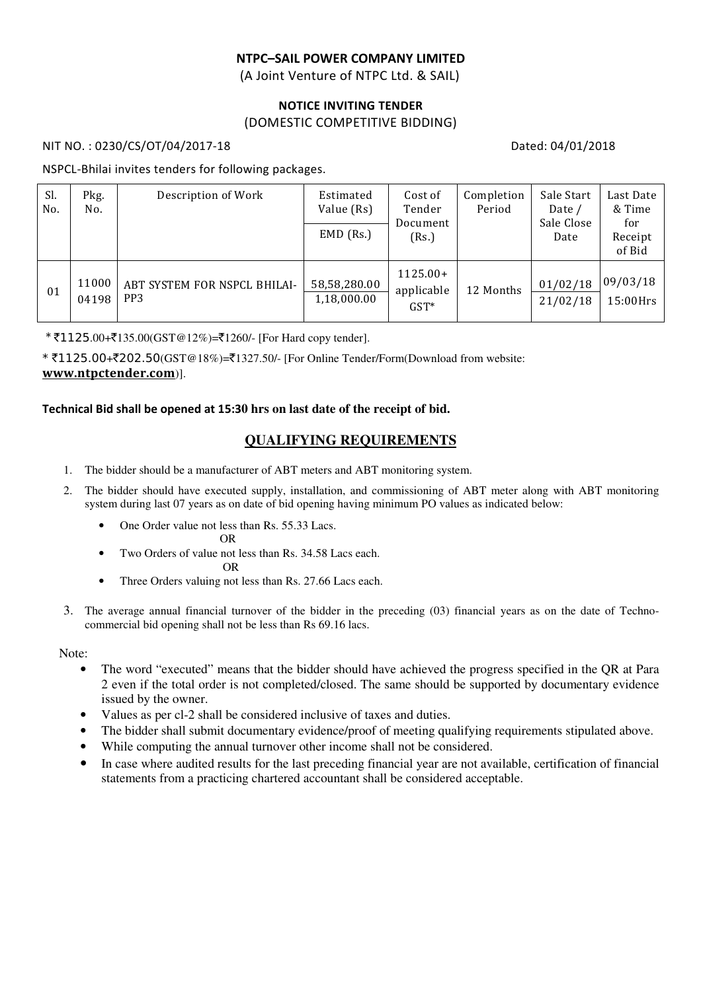### NTPC–SAIL POWER COMPANY LIMITED

(A Joint Venture of NTPC Ltd. & SAIL)

#### NOTICE INVITING TENDER (DOMESTIC COMPETITIVE BIDDING)

NIT NO.: 0230/CS/OT/04/2017-18 Dated: 04/01/2018

#### NSPCL-Bhilai invites tenders for following packages.

| Sl.<br>No. | Pkg.<br>No.    | Description of Work                             | Estimated<br>Value (Rs)<br>$EMD$ (Rs.) | Cost of<br>Tender<br>Document<br>(Rs.) | Completion<br>Period | Sale Start<br>Date /<br>Sale Close<br>Date | Last Date<br>& Time<br>for<br>Receipt<br>of Bid |
|------------|----------------|-------------------------------------------------|----------------------------------------|----------------------------------------|----------------------|--------------------------------------------|-------------------------------------------------|
| 01         | 11000<br>04198 | ABT SYSTEM FOR NSPCL BHILAI-<br>PP <sub>3</sub> | 58,58,280.00<br>1,18,000.00            | $1125.00+$<br>applicable<br>$GST*$     | 12 Months            | 01/02/18<br>21/02/18                       | 09/03/18<br>$15:00$ Hrs                         |

\*  $\text{\textsterling}1125.00+\text{\textsterling}135.00(GST@12\%)$  =  $\text{\textsterling}1260/$ - [For Hard copy tender].

 $*$  ₹1125.00+₹202.50(GST@18%)=₹1327.50/- [For Online Tender/Form(Download from website: www.ntpctender.com)].

#### Technical Bid shall be opened at 15:3**0 hrs on last date of the receipt of bid.**

## **QUALIFYING REQUIREMENTS**

- 1. The bidder should be a manufacturer of ABT meters and ABT monitoring system.
- 2. The bidder should have executed supply, installation, and commissioning of ABT meter along with ABT monitoring system during last 07 years as on date of bid opening having minimum PO values as indicated below:
	- One Order value not less than Rs. 55.33 Lacs.

OR

• Two Orders of value not less than Rs. 34.58 Lacs each.

OR

- Three Orders valuing not less than Rs. 27.66 Lacs each.
- 3. The average annual financial turnover of the bidder in the preceding (03) financial years as on the date of Technocommercial bid opening shall not be less than Rs 69.16 lacs.

Note:

- The word "executed" means that the bidder should have achieved the progress specified in the QR at Para 2 even if the total order is not completed/closed. The same should be supported by documentary evidence issued by the owner.
- Values as per cl-2 shall be considered inclusive of taxes and duties.
- The bidder shall submit documentary evidence/proof of meeting qualifying requirements stipulated above.
- While computing the annual turnover other income shall not be considered.
- In case where audited results for the last preceding financial year are not available, certification of financial statements from a practicing chartered accountant shall be considered acceptable.